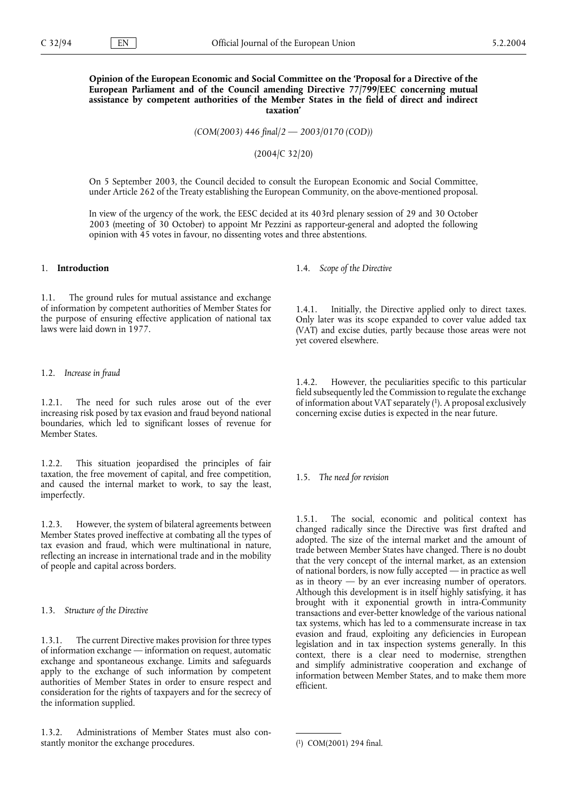**Opinion of the European Economic and Social Committee on the 'Proposal for a Directive of the European Parliament and of the Council amending Directive 77/799/EEC concerning mutual assistance by competent authorities of the Member States in the field of direct and indirect taxation'**

*(COM(2003) 446 final/2 — 2003/0170 (COD))*

(2004/C 32/20)

On 5 September 2003, the Council decided to consult the European Economic and Social Committee, under Article 262 of the Treaty establishing the European Community, on the above-mentioned proposal.

In view of the urgency of the work, the EESC decided at its 403rd plenary session of 29 and 30 October 2003 (meeting of 30 October) to appoint Mr Pezzini as rapporteur-general and adopted the following opinion with 45 votes in favour, no dissenting votes and three abstentions.

# 1. **Introduction**

1.1. The ground rules for mutual assistance and exchange of information by competent authorities of Member States for the purpose of ensuring effective application of national tax laws were laid down in 1977.

#### 1.2. *Increase in fraud*

1.2.1. The need for such rules arose out of the ever increasing risk posed by tax evasion and fraud beyond national boundaries, which led to significant losses of revenue for Member States.

1.2.2. This situation jeopardised the principles of fair taxation, the free movement of capital, and free competition, and caused the internal market to work, to say the least, imperfectly.

1.2.3. However, the system of bilateral agreements between Member States proved ineffective at combating all the types of tax evasion and fraud, which were multinational in nature, reflecting an increase in international trade and in the mobility of people and capital across borders.

#### 1.3. *Structure of the Directive*

1.3.1. The current Directive makes provision for three types of information exchange — information on request, automatic exchange and spontaneous exchange. Limits and safeguards apply to the exchange of such information by competent authorities of Member States in order to ensure respect and consideration for the rights of taxpayers and for the secrecy of the information supplied.

1.3.2. Administrations of Member States must also constantly monitor the exchange procedures.

1.4. *Scope of the Directive*

1.4.1. Initially, the Directive applied only to direct taxes. Only later was its scope expanded to cover value added tax (VAT) and excise duties, partly because those areas were not yet covered elsewhere.

1.4.2. However, the peculiarities specific to this particular field subsequently led the Commission to regulate the exchange of information about VAT separately (1). A proposal exclusively concerning excise duties is expected in the near future.

1.5. *The need for revision*

1.5.1. The social, economic and political context has changed radically since the Directive was first drafted and adopted. The size of the internal market and the amount of trade between Member States have changed. There is no doubt that the very concept of the internal market, as an extension of national borders, is now fully accepted — in practice as well as in theory  $-$  by an ever increasing number of operators. Although this development is in itself highly satisfying, it has brought with it exponential growth in intra-Community transactions and ever-better knowledge of the various national tax systems, which has led to a commensurate increase in tax evasion and fraud, exploiting any deficiencies in European legislation and in tax inspection systems generally. In this context, there is a clear need to modernise, strengthen and simplify administrative cooperation and exchange of information between Member States, and to make them more efficient.

<sup>(1)</sup> COM(2001) 294 final.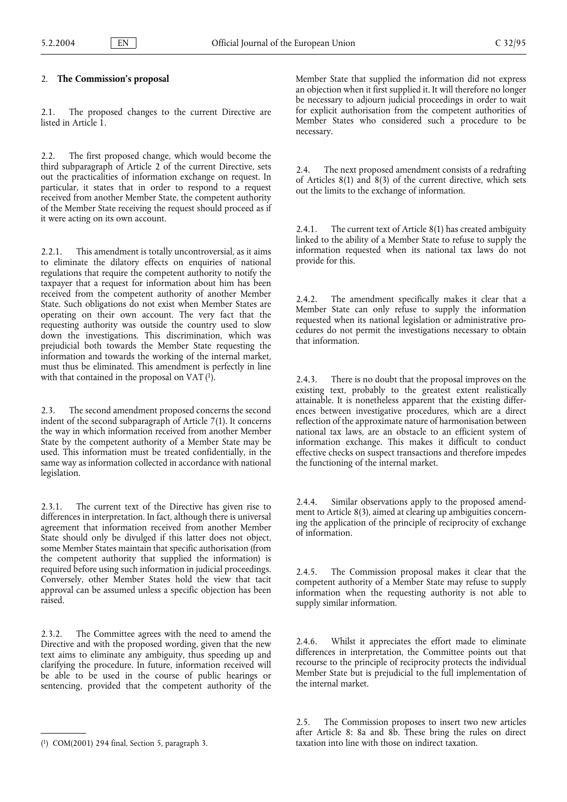# 2. **The Commission's proposal**

2.1. The proposed changes to the current Directive are listed in Article 1.

2.2. The first proposed change, which would become the third subparagraph of Article 2 of the current Directive, sets out the practicalities of information exchange on request. In particular, it states that in order to respond to a request received from another Member State, the competent authority of the Member State receiving the request should proceed as if it were acting on its own account.

2.2.1. This amendment is totally uncontroversial, as it aims to eliminate the dilatory effects on enquiries of national regulations that require the competent authority to notify the taxpayer that a request for information about him has been received from the competent authority of another Member State. Such obligations do not exist when Member States are operating on their own account. The very fact that the requesting authority was outside the country used to slow down the investigations. This discrimination, which was prejudicial both towards the Member State requesting the information and towards the working of the internal market, must thus be eliminated. This amendment is perfectly in line with that contained in the proposal on VAT  $(1)$ .

2.3. The second amendment proposed concerns the second indent of the second subparagraph of Article 7(1). It concerns the way in which information received from another Member State by the competent authority of a Member State may be used. This information must be treated confidentially, in the same way as information collected in accordance with national legislation.

2.3.1. The current text of the Directive has given rise to differences in interpretation. In fact, although there is universal agreement that information received from another Member State should only be divulged if this latter does not object, some Member States maintain that specific authorisation (from the competent authority that supplied the information) is required before using such information in judicial proceedings. Conversely, other Member States hold the view that tacit approval can be assumed unless a specific objection has been raised.

2.3.2. The Committee agrees with the need to amend the Directive and with the proposed wording, given that the new text aims to eliminate any ambiguity, thus speeding up and clarifying the procedure. In future, information received will be able to be used in the course of public hearings or sentencing, provided that the competent authority of the

Member State that supplied the information did not express an objection when it first supplied it. It will therefore no longer be necessary to adjourn judicial proceedings in order to wait for explicit authorisation from the competent authorities of Member States who considered such a procedure to be necessary.

2.4. The next proposed amendment consists of a redrafting of Articles  $8(1)$  and  $8(3)$  of the current directive, which sets out the limits to the exchange of information.

2.4.1. The current text of Article 8(1) has created ambiguity linked to the ability of a Member State to refuse to supply the information requested when its national tax laws do not provide for this.

2.4.2. The amendment specifically makes it clear that a Member State can only refuse to supply the information requested when its national legislation or administrative procedures do not permit the investigations necessary to obtain that information.

2.4.3. There is no doubt that the proposal improves on the existing text, probably to the greatest extent realistically attainable. It is nonetheless apparent that the existing differences between investigative procedures, which are a direct reflection of the approximate nature of harmonisation between national tax laws, are an obstacle to an efficient system of information exchange. This makes it difficult to conduct effective checks on suspect transactions and therefore impedes the functioning of the internal market.

2.4.4. Similar observations apply to the proposed amendment to Article 8(3), aimed at clearing up ambiguities concerning the application of the principle of reciprocity of exchange of information.

2.4.5. The Commission proposal makes it clear that the competent authority of a Member State may refuse to supply information when the requesting authority is not able to supply similar information.

2.4.6. Whilst it appreciates the effort made to eliminate differences in interpretation, the Committee points out that recourse to the principle of reciprocity protects the individual Member State but is prejudicial to the full implementation of the internal market.

2.5. The Commission proposes to insert two new articles after Article 8: 8a and 8b. These bring the rules on direct taxation into line with those on indirect taxation.

<sup>(1)</sup> COM(2001) 294 final, Section 5, paragraph 3.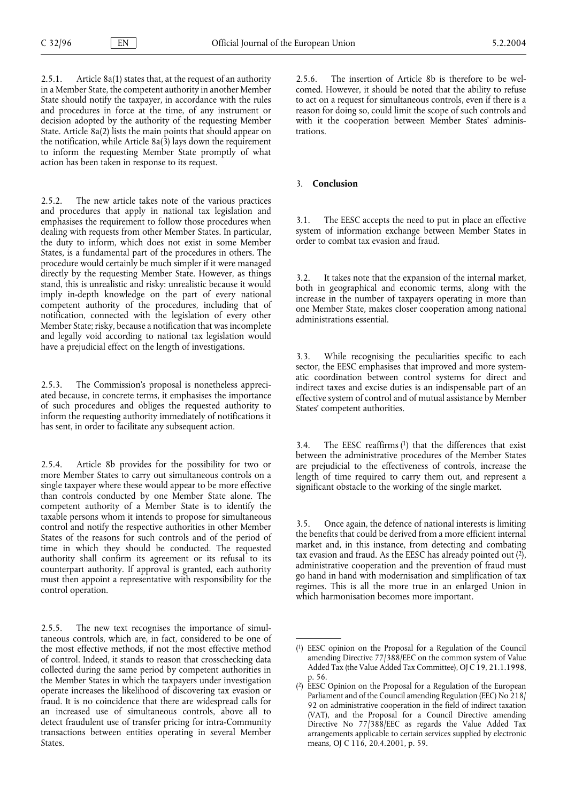2.5.1. Article 8a(1) states that, at the request of an authority in a Member State, the competent authority in another Member State should notify the taxpayer, in accordance with the rules and procedures in force at the time, of any instrument or decision adopted by the authority of the requesting Member State. Article 8a(2) lists the main points that should appear on the notification, while Article  $8a(3)$  lays down the requirement to inform the requesting Member State promptly of what action has been taken in response to its request.

2.5.2. The new article takes note of the various practices and procedures that apply in national tax legislation and emphasises the requirement to follow those procedures when dealing with requests from other Member States. In particular, the duty to inform, which does not exist in some Member States, is a fundamental part of the procedures in others. The procedure would certainly be much simpler if it were managed directly by the requesting Member State. However, as things stand, this is unrealistic and risky: unrealistic because it would imply in-depth knowledge on the part of every national competent authority of the procedures, including that of notification, connected with the legislation of every other Member State; risky, because a notification that was incomplete and legally void according to national tax legislation would have a prejudicial effect on the length of investigations.

2.5.3. The Commission's proposal is nonetheless appreciated because, in concrete terms, it emphasises the importance of such procedures and obliges the requested authority to inform the requesting authority immediately of notifications it has sent, in order to facilitate any subsequent action.

2.5.4. Article 8b provides for the possibility for two or more Member States to carry out simultaneous controls on a single taxpayer where these would appear to be more effective than controls conducted by one Member State alone. The competent authority of a Member State is to identify the taxable persons whom it intends to propose for simultaneous control and notify the respective authorities in other Member States of the reasons for such controls and of the period of time in which they should be conducted. The requested authority shall confirm its agreement or its refusal to its counterpart authority. If approval is granted, each authority must then appoint a representative with responsibility for the control operation.

2.5.5. The new text recognises the importance of simultaneous controls, which are, in fact, considered to be one of the most effective methods, if not the most effective method of control. Indeed, it stands to reason that crosschecking data collected during the same period by competent authorities in the Member States in which the taxpayers under investigation operate increases the likelihood of discovering tax evasion or fraud. It is no coincidence that there are widespread calls for an increased use of simultaneous controls, above all to detect fraudulent use of transfer pricing for intra-Community transactions between entities operating in several Member States.

2.5.6. The insertion of Article 8b is therefore to be welcomed. However, it should be noted that the ability to refuse to act on a request for simultaneous controls, even if there is a reason for doing so, could limit the scope of such controls and with it the cooperation between Member States' administrations.

# 3. **Conclusion**

3.1. The EESC accepts the need to put in place an effective system of information exchange between Member States in order to combat tax evasion and fraud.

3.2. It takes note that the expansion of the internal market, both in geographical and economic terms, along with the increase in the number of taxpayers operating in more than one Member State, makes closer cooperation among national administrations essential.

3.3. While recognising the peculiarities specific to each sector, the EESC emphasises that improved and more systematic coordination between control systems for direct and indirect taxes and excise duties is an indispensable part of an effective system of control and of mutual assistance by Member States' competent authorities.

3.4. The EESC reaffirms  $(1)$  that the differences that exist between the administrative procedures of the Member States are prejudicial to the effectiveness of controls, increase the length of time required to carry them out, and represent a significant obstacle to the working of the single market.

3.5. Once again, the defence of national interests is limiting the benefits that could be derived from a more efficient internal market and, in this instance, from detecting and combating tax evasion and fraud. As the EESC has already pointed out (2), administrative cooperation and the prevention of fraud must go hand in hand with modernisation and simplification of tax regimes. This is all the more true in an enlarged Union in which harmonisation becomes more important.

<sup>(1)</sup> EESC opinion on the Proposal for a Regulation of the Council amending Directive 77/388/EEC on the common system of Value Added Tax (the Value Added Tax Committee), OJ C 19, 21.1.1998, p. 56.

<sup>(2)</sup> EESC Opinion on the Proposal for a Regulation of the European Parliament and of the Council amending Regulation (EEC) No 218/ 92 on administrative cooperation in the field of indirect taxation (VAT), and the Proposal for a Council Directive amending Directive No 77/388/EEC as regards the Value Added Tax arrangements applicable to certain services supplied by electronic means, OJ C 116, 20.4.2001, p. 59.